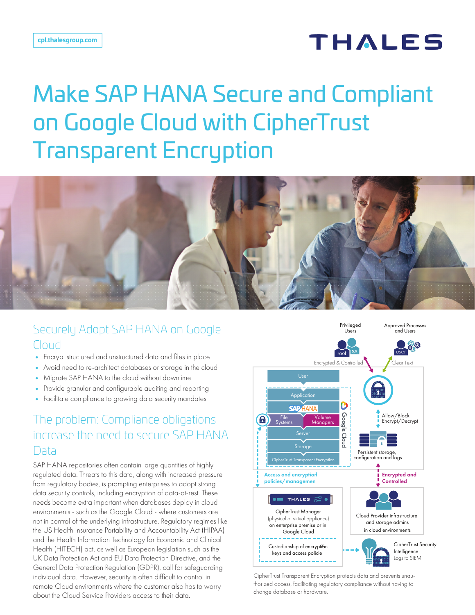# **THALES**

# Make SAP HANA Secure and Compliant on Google Cloud with CipherTrust Transparent Encryption



#### Securely Adopt SAP HANA on Google Cloud

- Encrypt structured and unstructured data and files in place
- Avoid need to re-architect databases or storage in the cloud
- Migrate SAP HANA to the cloud without downtime
- Provide granular and configurable auditing and reporting
- Facilitate compliance to growing data security mandates

#### The problem: Compliance obligations increase the need to secure SAP HANA Data

SAP HANA repositories often contain large quantities of highly regulated data. Threats to this data, along with increased pressure from regulatory bodies, is prompting enterprises to adopt strong data security controls, including encryption of data-at-rest. These needs become extra important when databases deploy in cloud environments - such as the Google Cloud - where customers are not in control of the underlying infrastructure. Regulatory regimes like the US Health Insurance Portability and Accountability Act (HIPAA) and the Health Information Technology for Economic and Clinical Health (HITECH) act, as well as European legislation such as the UK Data Protection Act and EU Data Protection Directive, and the General Data Protection Regulation (GDPR), call for safeguarding individual data. However, security is often difficult to control in remote Cloud environments where the customer also has to worry about the Cloud Service Providers access to their data.



CipherTrust Transparent Encryption protects data and prevents unauthorized access, facilitating regulatory compliance without having to change database or hardware.